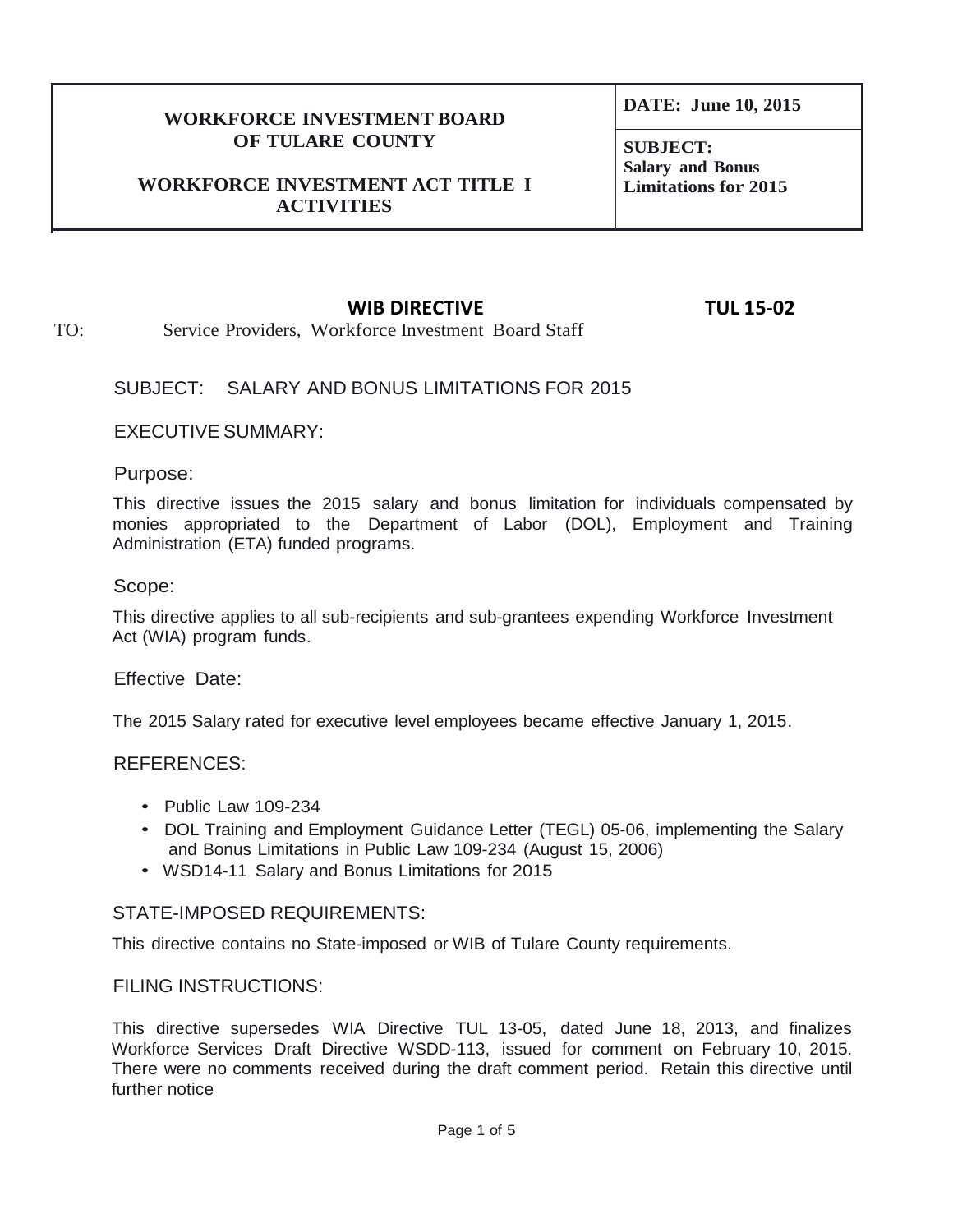### **WORKFORCE INVESTMENT BOARD OF TULARE COUNTY**

#### **WORKFORCE INVESTMENT ACT TITLE I ACTIVITIES**

**DATE: June 10, 2015**

**SUBJECT: Salary and Bonus Limitations for 2015**

## **WIB DIRECTIVE TUL 15-02**

TO: Service Providers, Workforce Investment Board Staff

## SUBJECT: SALARY AND BONUS LIMITATIONS FOR 2015

EXECUTIVE SUMMARY:

Purpose:

This directive issues the 2015 salary and bonus limitation for individuals compensated by monies appropriated to the Department of Labor (DOL), Employment and Training Administration (ETA) funded programs.

#### Scope:

This directive applies to all sub-recipients and sub-grantees expending Workforce Investment Act (WIA) program funds.

Effective Date:

The 2015 Salary rated for executive level employees became effective January 1, 2015.

## REFERENCES:

- Public Law 109-234
- DOL Training and Employment Guidance Letter (TEGL) 05-06, implementing the Salary and Bonus Limitations in Public Law 109-234 (August 15, 2006)
- WSD14-11 Salary and Bonus Limitations for 2015

## STATE-IMPOSED REQUIREMENTS:

This directive contains no State-imposed or WIB of Tulare County requirements.

## FILING INSTRUCTIONS:

This directive supersedes WIA Directive TUL 13-05, dated June 18, 2013, and finalizes Workforce Services Draft Directive WSDD-113, issued for comment on February 10, 2015. There were no comments received during the draft comment period. Retain this directive until further notice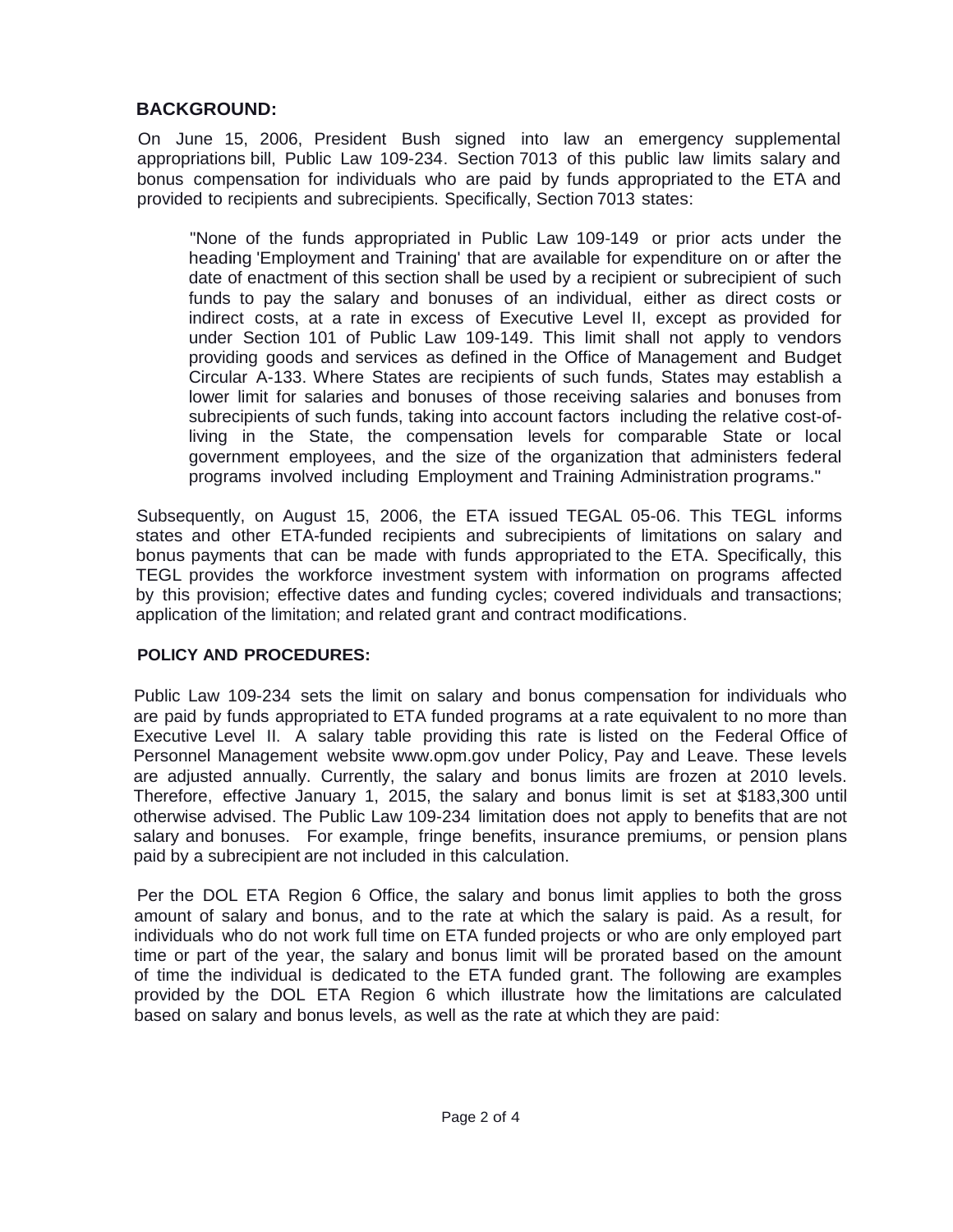# **BACKGROUND:**

On June 15, 2006, President Bush signed into law an emergency supplemental appropriations bill, Public Law 109-234. Section 7013 of this public law limits salary and bonus compensation for individuals who are paid by funds appropriated to the ETA and provided to recipients and subrecipients. Specifically, Section 7013 states:

"None of the funds appropriated in Public Law 109-149 or prior acts under the heading 'Employment and Training' that are available for expenditure on or after the date of enactment of this section shall be used by a recipient or subrecipient of such funds to pay the salary and bonuses of an individual, either as direct costs or indirect costs, at a rate in excess of Executive Level II, except as provided for under Section 101 of Public Law 109-149. This limit shall not apply to vendors providing goods and services as defined in the Office of Management and Budget Circular A-133. Where States are recipients of such funds, States may establish a lower limit for salaries and bonuses of those receiving salaries and bonuses from subrecipients of such funds, taking into account factors including the relative cost-ofliving in the State, the compensation levels for comparable State or local government employees, and the size of the organization that administers federal programs involved including Employment and Training Administration programs."

Subsequently, on August 15, 2006, the ETA issued TEGAL 05-06. This TEGL informs states and other ETA-funded recipients and subrecipients of limitations on salary and bonus payments that can be made with funds appropriated to the ETA. Specifically, this TEGL provides the workforce investment system with information on programs affected by this provision; effective dates and funding cycles; covered individuals and transactions; application of the limitation; and related grant and contract modifications.

## **POLICY AND PROCEDURES:**

Public Law 109-234 sets the limit on salary and bonus compensation for individuals who are paid by funds appropriated to ETA funded programs at a rate equivalent to no more than Executive Level II. A salary table providing this rate is listed on the Federal Office of Personnel Management website [www.opm.gov](http://www.opm.gov/) under Policy, Pay and Leave. These levels are adjusted annually. Currently, the salary and bonus limits are frozen at 2010 levels. Therefore, effective January 1, 2015, the salary and bonus limit is set at \$183,300 until otherwise advised. The Public Law 109-234 limitation does not apply to benefits that are not salary and bonuses. For example, fringe benefits, insurance premiums, or pension plans paid by a subrecipient are not included in this calculation.

Per the DOL ETA Region 6 Office, the salary and bonus limit applies to both the gross amount of salary and bonus, and to the rate at which the salary is paid. As a result, for individuals who do not work full time on ETA funded projects or who are only employed part time or part of the year, the salary and bonus limit will be prorated based on the amount of time the individual is dedicated to the ETA funded grant. The following are examples provided by the DOL ETA Region 6 which illustrate how the limitations are calculated based on salary and bonus levels, as well as the rate at which they are paid: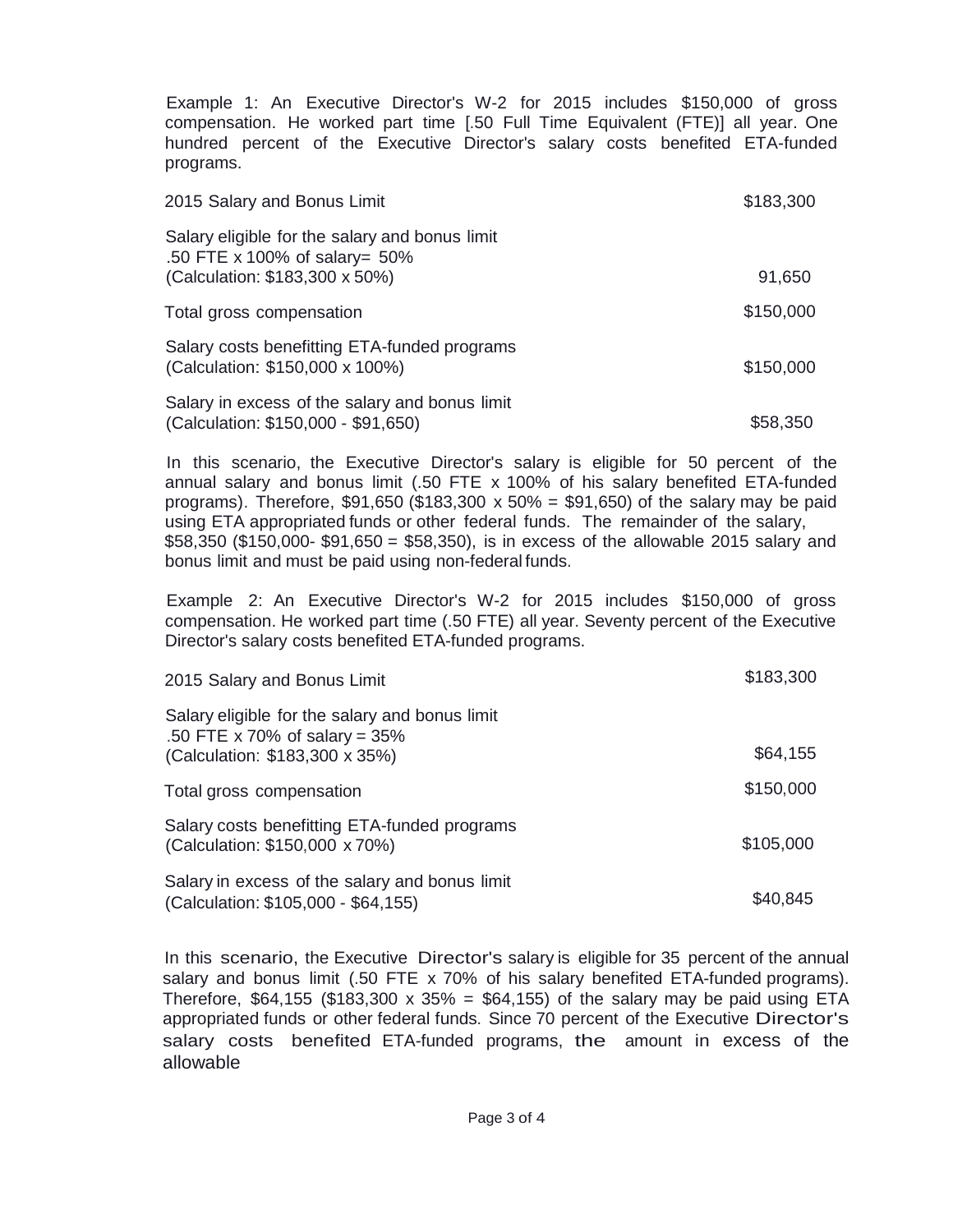Example 1: An Executive Director's W-2 for 2015 includes \$150,000 of gross compensation. He worked part time [.50 Full Time Equivalent (FTE)] all year. One hundred percent of the Executive Director's salary costs benefited ETA-funded programs.

| 2015 Salary and Bonus Limit                                                                                          | \$183,300 |
|----------------------------------------------------------------------------------------------------------------------|-----------|
| Salary eligible for the salary and bonus limit<br>.50 FTE x 100% of salary= $50\%$<br>(Calculation: \$183,300 x 50%) | 91,650    |
| Total gross compensation                                                                                             | \$150,000 |
| Salary costs benefitting ETA-funded programs<br>(Calculation: \$150,000 x 100%)                                      | \$150,000 |
| Salary in excess of the salary and bonus limit<br>(Calculation: \$150,000 - \$91,650)                                | \$58,350  |

In this scenario, the Executive Director's salary is eligible for 50 percent of the annual salary and bonus limit (.50 FTE x 100% of his salary benefited ETA-funded programs). Therefore,  $$91,650$  ( $$183,300 \times 50\% = $91,650$ ) of the salary may be paid using ETA appropriated funds or other federal funds. The remainder of the salary,  $$58,350$  (\$150,000- \$91,650 = \$58,350), is in excess of the allowable 2015 salary and bonus limit and must be paid using non-federal funds.

Example 2: An Executive Director's W-2 for 2015 includes \$150,000 of gross compensation. He worked part time (.50 FTE) all year. Seventy percent of the Executive Director's salary costs benefited ETA-funded programs.

| 2015 Salary and Bonus Limit                                                                                         | \$183,300 |
|---------------------------------------------------------------------------------------------------------------------|-----------|
| Salary eligible for the salary and bonus limit<br>.50 FTE x 70% of salary = $35%$<br>(Calculation: \$183,300 x 35%) | \$64,155  |
| Total gross compensation                                                                                            | \$150,000 |
| Salary costs benefitting ETA-funded programs<br>(Calculation: \$150,000 x 70%)                                      | \$105,000 |
| Salary in excess of the salary and bonus limit<br>(Calculation: \$105,000 - \$64,155)                               | \$40,845  |

In this scenario, the Executive Director's salary is eligible for 35 percent of the annual salary and bonus limit (.50 FTE x 70% of his salary benefited ETA-funded programs). Therefore, \$64,155 (\$183,300 x 35% = \$64,155) of the salary may be paid using ETA appropriated funds or other federal funds. Since 70 percent of the Executive Director's salary costs benefited ETA-funded programs, the amount in excess of the allowable